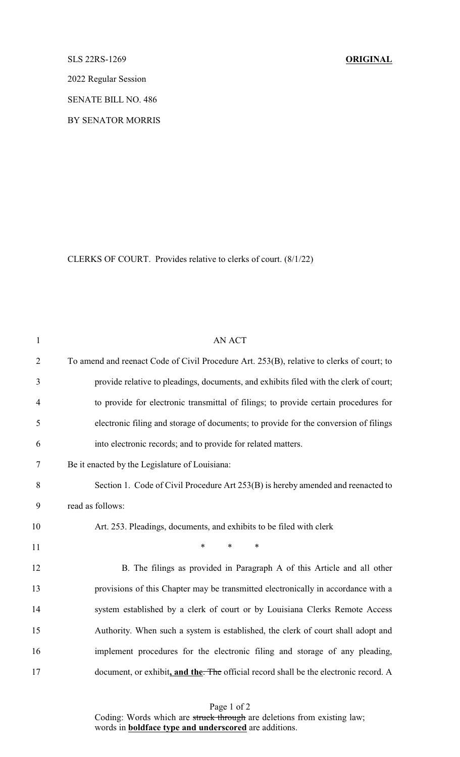SLS 22RS-1269 **ORIGINAL**

2022 Regular Session

SENATE BILL NO. 486

BY SENATOR MORRIS

CLERKS OF COURT. Provides relative to clerks of court. (8/1/22)

| $\mathbf{1}$   | <b>AN ACT</b>                                                                             |
|----------------|-------------------------------------------------------------------------------------------|
| $\overline{2}$ | To amend and reenact Code of Civil Procedure Art. 253(B), relative to clerks of court; to |
| 3              | provide relative to pleadings, documents, and exhibits filed with the clerk of court;     |
| $\overline{4}$ | to provide for electronic transmittal of filings; to provide certain procedures for       |
| 5              | electronic filing and storage of documents; to provide for the conversion of filings      |
| 6              | into electronic records; and to provide for related matters.                              |
| 7              | Be it enacted by the Legislature of Louisiana:                                            |
| 8              | Section 1. Code of Civil Procedure Art 253(B) is hereby amended and reenacted to          |
| 9              | read as follows:                                                                          |
| 10             | Art. 253. Pleadings, documents, and exhibits to be filed with clerk                       |
| 11             | $\ast$<br>$\ast$<br>$\ast$                                                                |
| 12             | B. The filings as provided in Paragraph A of this Article and all other                   |
| 13             | provisions of this Chapter may be transmitted electronically in accordance with a         |
| 14             | system established by a clerk of court or by Louisiana Clerks Remote Access               |
| 15             | Authority. When such a system is established, the clerk of court shall adopt and          |
| 16             | implement procedures for the electronic filing and storage of any pleading,               |
| 17             | document, or exhibit, and the. The official record shall be the electronic record. A      |

Page 1 of 2 Coding: Words which are struck through are deletions from existing law; words in **boldface type and underscored** are additions.